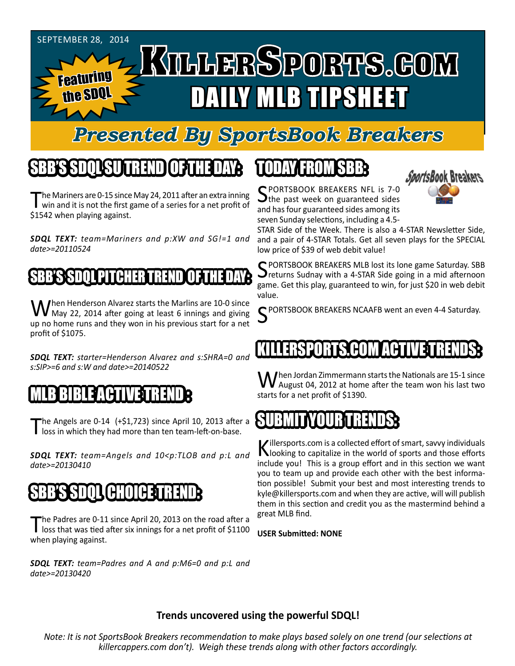

### *Presented By SportsBook Breakers*

### SBB'S SDQL SU TREND OF THE DAY:

The Mariners are 0-15 since May 24, 2011 after an extra inning<br>win and it is not the first game of a series for a net profit of \$1542 when playing against.

*SDQL TEXT: team=Mariners and p:XW and SG!=1 and date>=20110524*

#### SBB'S SDQL PITCHERT

When Henderson Alvarez starts the Marlins are 10-0 since<br>May 22, 2014 after going at least 6 innings and giving up no home runs and they won in his previous start for a net profit of \$1075.

*SDQL TEXT: starter=Henderson Alvarez and s:SHRA=0 and s:SIP>=6 and s:W and date>=20140522*

#### MLB BIBLE ACTIVE TRENDE

The Angels are 0-14 (+\$1,723) since April 10, 2013 after a loss in which they had more than ten team-left-on-base.

*SDQL TEXT: team=Angels and 10<p:TLOB and p:L and date>=20130410*

#### SBB'S SDQL CHOICET

The Padres are 0-11 since April 20, 2013 on the road after a loss that was tied after six innings for a net profit of \$1100 when playing against.

*SDQL TEXT: team=Padres and A and p:M6=0 and p:L and date>=20130420*

## TODAY HAOMSBB



SPORTSBOOK BREAKERS NFL is 7-0<br>The past week on guaranteed sides and has four guaranteed sides among its seven Sunday selections, including a 4.5-

STAR Side of the Week. There is also a 4-STAR Newsletter Side, and a pair of 4-STAR Totals. Get all seven plays for the SPECIAL low price of \$39 of web debit value!

C PORTSBOOK BREAKERS MLB lost its lone game Saturday. SBB  $\bigcup$  returns Sudnay with a 4-STAR Side going in a mid afternoon game. Get this play, guaranteed to win, for just \$20 in web debit value.

PORTSBOOK BREAKERS NCAAFB went an even 4-4 Saturday.

#### KILLERST HUN FILHT

When Jordan Zimmermann starts the Nationals are 15-1 since<br>
Maugust 04, 2012 at home after the team won his last two starts for a net profit of \$1390.

#### SUBMITYQUBTRENDS:

Killersports.com is a collected effort of smart, savvy individuals<br>Nooking to capitalize in the world of sports and those efforts include you! This is a group effort and in this section we want you to team up and provide each other with the best information possible! Submit your best and most interesting trends to kyle@killersports.com and when they are active, will will publish them in this section and credit you as the mastermind behind a great MLB find.

**USER Submitted: NONE**

#### **Trends uncovered using the powerful SDQL!**

*Note: It is not SportsBook Breakers recommendation to make plays based solely on one trend (our selections at killercappers.com don't). Weigh these trends along with other factors accordingly.*